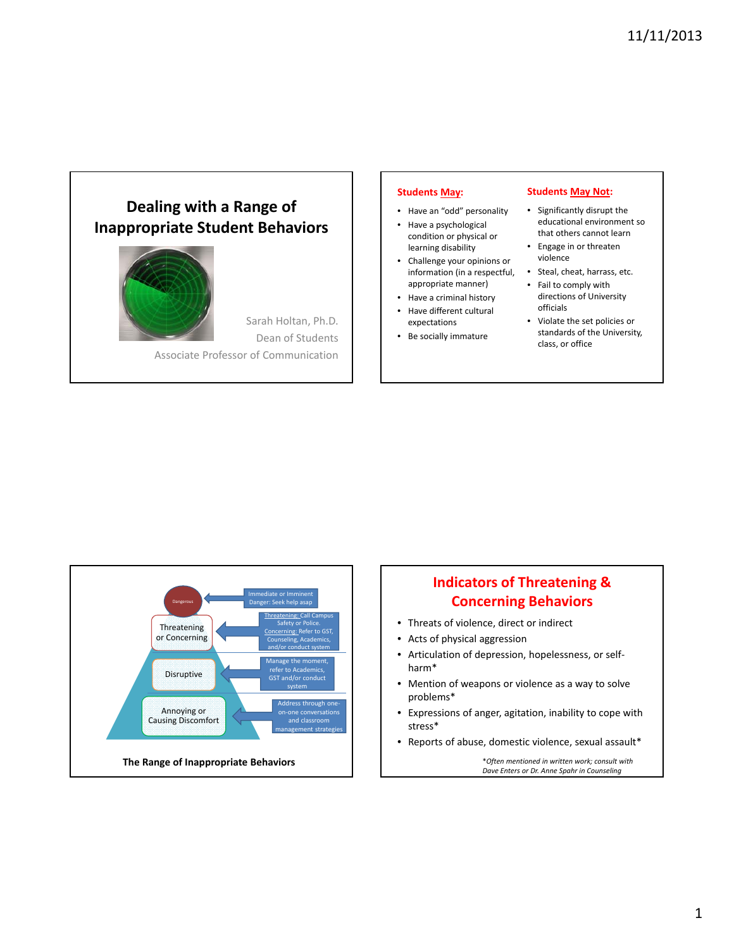# **Dealing with a Range of Inappropriate Student Behaviors**



Sarah Holtan, Ph.D. Dean of Students Associate Professor of Communication

#### **Students May:**

- Have an "odd" personality
- Have a psychological condition or physical or learning disability
- Challenge your opinions or information (in a respectful, appropriate manner)
- Have a criminal history
- Have different cultural expectations
- Be socially immature

#### **Students May Not:**

- Significantly disrupt the educational environment so that others cannot learn
- Engage in or threaten violence
- Steal, cheat, harrass, etc.
- Fail to comply with directions of University officials
- Violate the set policies or standards of the University, class, or office



## **Indicators of Threatening & Concerning Behaviors**

- Threats of violence, direct or indirect
- Acts of physical aggression
- Articulation of depression, hopelessness, or self‐ harm\*
- Mention of weapons or violence as a way to solve problems\*
- Expressions of anger, agitation, inability to cope with stress\*
- Reports of abuse, domestic violence, sexual assault\*

\**Often mentioned in written work; consult with Dave Enters or Dr. Anne Spahr in Counseling*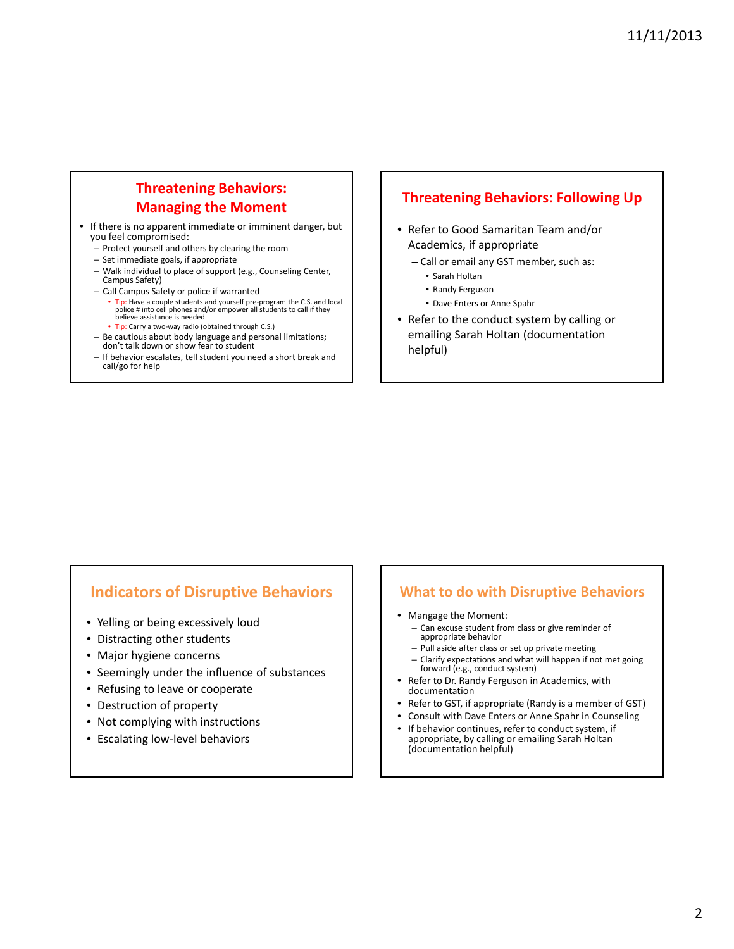## **Threatening Behaviors: Managing the Moment**

- If there is no apparent immediate or imminent danger, but you feel compromised:
	- Protect yourself and others by clearing the room
	- Set immediate goals, if appropriate
	- Walk individual to place of support (e.g., Counseling Center, Campus Safety)
	- Call Campus Safety or police if warranted
		- Tip: Have a couple students and yourself pre-program the C.S. and local police # into cell phones and/or empower all students to call if they believe assistance is needed
		- Tip: Carry a two‐way radio (obtained through C.S.)
	- Be cautious about body language and personal limitations; don't talk down or show fear to student
	- If behavior escalates, tell student you need a short break and call/go for help

#### **Threatening Behaviors: Following Up**

- Refer to Good Samaritan Team and/or Academics, if appropriate
	- Call or email any GST member, such as:
		- Sarah Holtan
		- Randy Ferguson
		- Dave Enters or Anne Spahr
- Refer to the conduct system by calling or emailing Sarah Holtan (documentation helpful)

## **Indicators of Disruptive Behaviors**

- Yelling or being excessively loud
- Distracting other students
- Major hygiene concerns
- Seemingly under the influence of substances
- Refusing to leave or cooperate
- Destruction of property
- Not complying with instructions
- Escalating low‐level behaviors

#### **What to do with Disruptive Behaviors**

- Mangage the Moment:
	- Can excuse student from class or give reminder of appropriate behavior
	- Pull aside after class or set up private meeting
	- Clarify expectations and what will happen if not met going forward (e.g., conduct system)
- Refer to Dr. Randy Ferguson in Academics, with documentation
- Refer to GST, if appropriate (Randy is a member of GST)
- Consult with Dave Enters or Anne Spahr in Counseling
- If behavior continues, refer to conduct system, if appropriate, by calling or emailing Sarah Holtan (documentation helpful)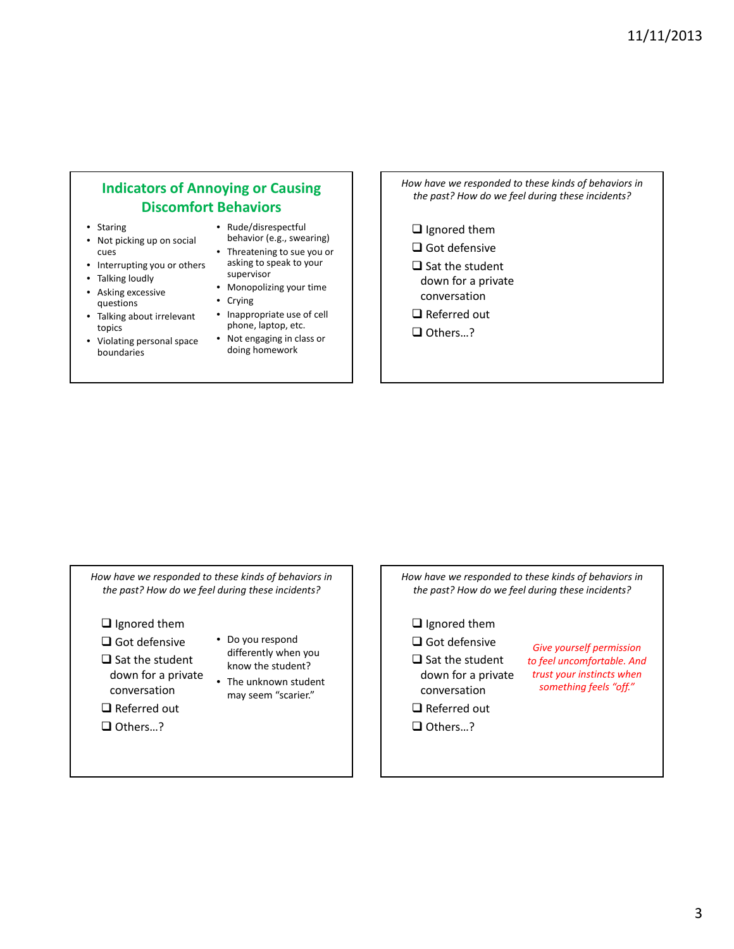### **Indicators of Annoying or Causing Discomfort Behaviors**

- Staring
- Not picking up on social cues
- Interrupting you or others
- Talking loudly
- Asking excessive questions
- Talking about irrelevant topics
- Violating personal space boundaries
- Rude/disrespectful
- behavior (e.g., swearing) • Threatening to sue you or
- asking to speak to your supervisor
- Monopolizing your time
- Crying
- Inappropriate use of cell phone, laptop, etc.
- Not engaging in class or doing homework
- *How have we responded to these kinds of behaviors in the past? How do we feel during these incidents?*
	- $\Box$  Ignored them
	- $\Box$  Got defensive
	- $\square$  Sat the student down for a private conversation
	- □ Referred out
	- □ Others…?

*How have we responded to these kinds of behaviors in the past? How do we feel during these incidents?*

 $\Box$  Ignored them

 $\Box$  Got defensive

 $\Box$  Referred out □ Others…?

- $\square$  Sat the student down for a private conversation
- Do you respond differently when you know the student?
- The unknown student may seem "scarier."

*How have we responded to these kinds of behaviors in the past? How do we feel during these incidents?*

- $\Box$  Ignored them
- $\Box$  Got defensive  $\square$  Sat the student
- down for a private conversation
- *Give yourself permission to feel uncomfortable. And trust your instincts when something feels "off."*
- $\Box$  Referred out □ Others…?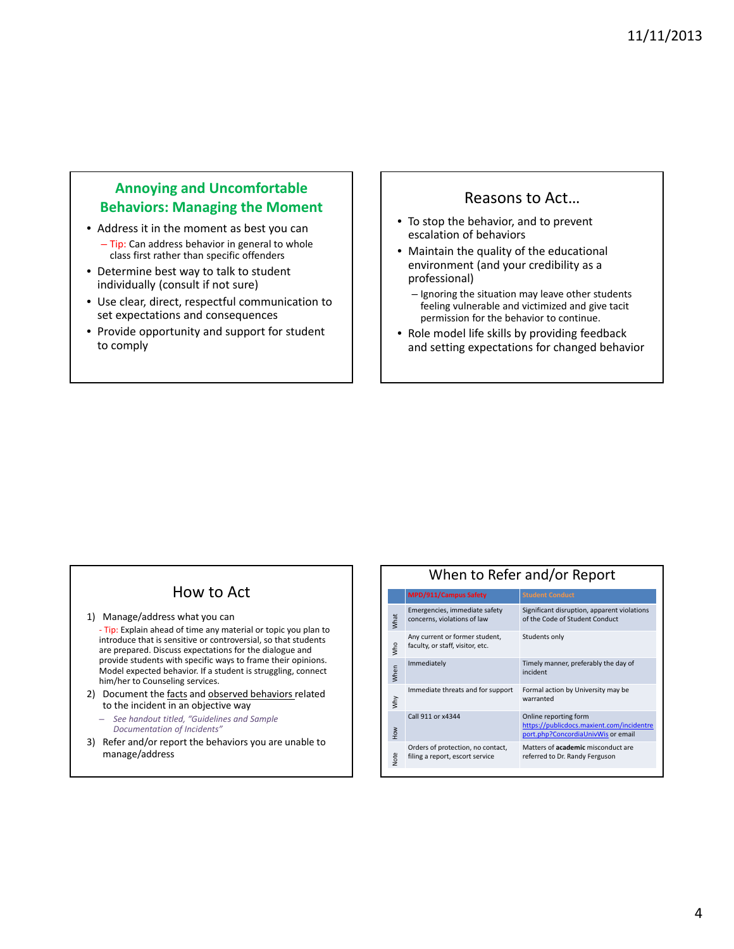#### **Annoying and Uncomfortable Behaviors: Managing the Moment**

- Address it in the moment as best you can – Tip: Can address behavior in general to whole class first rather than specific offenders
- Determine best way to talk to student individually (consult if not sure)
- Use clear, direct, respectful communication to set expectations and consequences
- Provide opportunity and support for student to comply

### Reasons to Act…

- To stop the behavior, and to prevent escalation of behaviors
- Maintain the quality of the educational environment (and your credibility as a professional)
	- Ignoring the situation may leave other students feeling vulnerable and victimized and give tacit permission for the behavior to continue.
- Role model life skills by providing feedback and setting expectations for changed behavior

## How to Act

- 1) Manage/address what you can
- ‐ Tip: Explain ahead of time any material or topic you plan to introduce that is sensitive or controversial, so that students are prepared. Discuss expectations for the dialogue and provide students with specific ways to frame their opinions. Model expected behavior. If a student is struggling, connect him/her to Counseling services.
- 2) Document the facts and observed behaviors related to the incident in an objective way
	- *See handout titled, "Guidelines and Sample Documentation of Incidents"*
- 3) Refer and/or report the behaviors you are unable to manage/address

#### When to Refer and/or Report **MPD/911/Campus Sa** Emergencies, immediate safety concerns, violations of law Significant disruption, apparent violations of the Code of Student Conduct Any current or former student, faculty, or staff, visitor, etc. Students only Immediately Timely manner, preferably the day of incident Immediate threats and for support Formal action by University may be warranted

What

Who

When

Why

How

Note

| Call 911 or x4344                                                    | Online reporting form<br>https://publicdocs.maxient.com/incidentre<br>port.php?ConcordiaUnivWis or email |
|----------------------------------------------------------------------|----------------------------------------------------------------------------------------------------------|
| Orders of protection, no contact,<br>filing a report, escort service | Matters of <b>academic</b> misconduct are<br>referred to Dr. Randy Ferguson                              |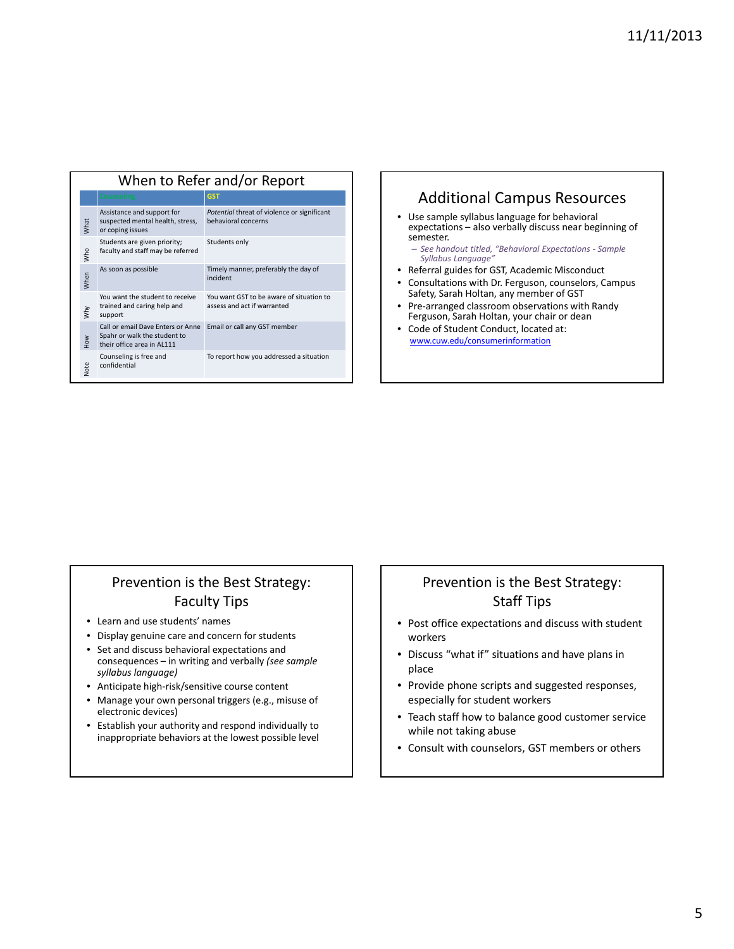| When to Refer and/or Report |                                                                                                 |                                                                         |  |
|-----------------------------|-------------------------------------------------------------------------------------------------|-------------------------------------------------------------------------|--|
|                             | <b>Counseling</b>                                                                               | <b>GST</b>                                                              |  |
| What                        | Assistance and support for<br>suspected mental health, stress,<br>or coping issues              | Potential threat of violence or significant<br>behavioral concerns      |  |
| who                         | Students are given priority;<br>faculty and staff may be referred                               | Students only                                                           |  |
| When                        | As soon as possible                                                                             | Timely manner, preferably the day of<br>incident                        |  |
| why                         | You want the student to receive<br>trained and caring help and<br>support                       | You want GST to be aware of situation to<br>assess and act if warranted |  |
| $rac{8}{100}$               | Call or email Dave Enters or Anne<br>Spahr or walk the student to<br>their office area in AL111 | Email or call any GST member                                            |  |
| Note                        | Counseling is free and<br>confidential                                                          | To report how you addressed a situation                                 |  |

#### Additional Campus Resources • Use sample syllabus language for behavioral expectations – also verbally discuss near beginning of semester. – *See handout titled, "Behavioral Expectations ‐ Sample Syllabus Language"* • Referral guides for GST, Academic Misconduct • Consultations with Dr. Ferguson, counselors, Campus Safety, Sarah Holtan, any member of GST • Pre‐arranged classroom observations with Randy Ferguson, Sarah Holtan, your chair or dean • Code of Student Conduct, located at: www.cuw.edu/consumerinformation

## Prevention is the Best Strategy: Faculty Tips

- Learn and use students' names
- Display genuine care and concern for students
- Set and discuss behavioral expectations and consequences – in writing and verbally *(see sample syllabus language)*
- Anticipate high‐risk/sensitive course content
- Manage your own personal triggers (e.g., misuse of electronic devices)
- Establish your authority and respond individually to inappropriate behaviors at the lowest possible level

### Prevention is the Best Strategy: Staff Tips

- Post office expectations and discuss with student workers
- Discuss "what if" situations and have plans in place
- Provide phone scripts and suggested responses, especially for student workers
- Teach staff how to balance good customer service while not taking abuse
- Consult with counselors, GST members or others